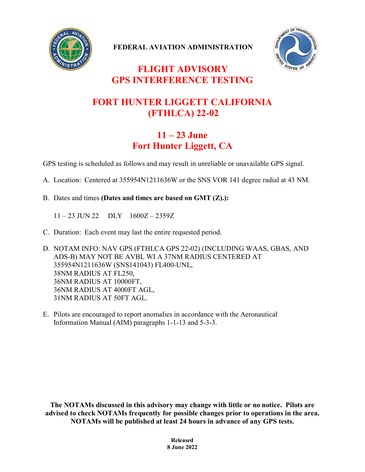

**FEDERAL AVIATION ADMINISTRATION**



## **FLIGHT ADVISORY GPS INTERFERENCE TESTING**

## **FORT HUNTER LIGGETT CALIFORNIA (FTHLCA) 22-02**

## **11 – 23 June Fort Hunter Liggett, CA**

GPS testing is scheduled as follows and may result in unreliable or unavailable GPS signal.

- A. Location: Centered at 355954N1211636W or the SNS VOR 141 degree radial at 43 NM.
- B. Dates and times **(Dates and times are based on GMT (Z).):**

11 – 23 JUN 22 DLY 1600Z – 2359Z

- C. Duration: Each event may last the entire requested period.
- D. NOTAM INFO: NAV GPS (FTHLCA GPS 22-02) (INCLUDING WAAS, GBAS, AND ADS-B) MAY NOT BE AVBL WI A 37NM RADIUS CENTERED AT 355954N1211636W (SNS141043) FL400-UNL, 38NM RADIUS AT FL250, 36NM RADIUS AT 10000FT, 36NM RADIUS AT 4000FT AGL, 31NM RADIUS AT 50FT AGL.
- E. Pilots are encouraged to report anomalies in accordance with the Aeronautical Information Manual (AIM) paragraphs 1-1-13 and 5-3-3.

**The NOTAMs discussed in this advisory may change with little or no notice. Pilots are advised to check NOTAMs frequently for possible changes prior to operations in the area. NOTAMs will be published at least 24 hours in advance of any GPS tests.**